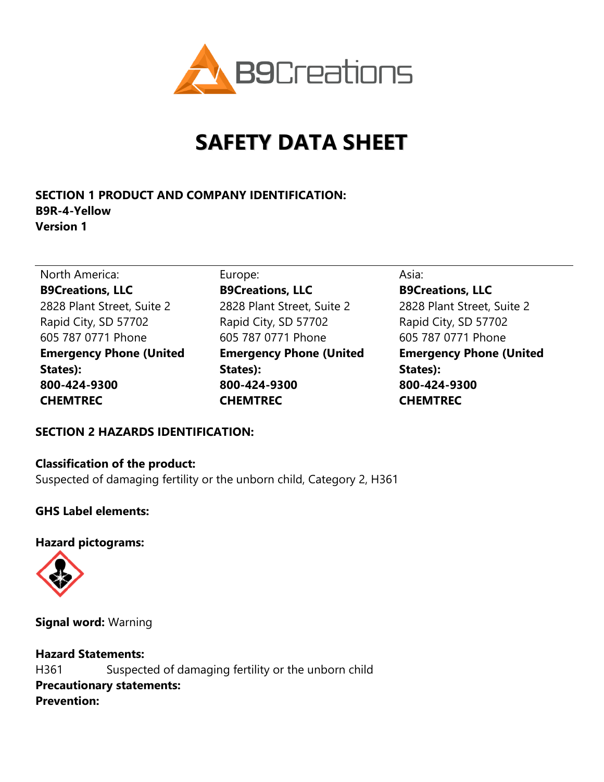

# **SAFETY DATA SHEET**

# **SECTION 1 PRODUCT AND COMPANY IDENTIFICATION: B9R-4-Yellow Version 1**

North America: Europe: Europe: Asia: Asia: **B9Creations, LLC** 2828 Plant Street, Suite 2 Rapid City, SD 57702 605 787 0771 Phone **Emergency Phone (United States): 800-424-9300 CHEMTREC** 

**B9Creations, LLC** 2828 Plant Street, Suite 2 Rapid City, SD 57702 605 787 0771 Phone **Emergency Phone (United States): 800-424-9300 CHEMTREC**

**B9Creations, LLC** 2828 Plant Street, Suite 2 Rapid City, SD 57702 605 787 0771 Phone **Emergency Phone (United States): 800-424-9300 CHEMTREC**

# **SECTION 2 HAZARDS IDENTIFICATION:**

#### **Classification of the product:**

Suspected of damaging fertility or the unborn child, Category 2, H361

## **GHS Label elements:**

#### **Hazard pictograms:**



**Signal word:** Warning

**Hazard Statements:** H361 Suspected of damaging fertility or the unborn child **Precautionary statements: Prevention:**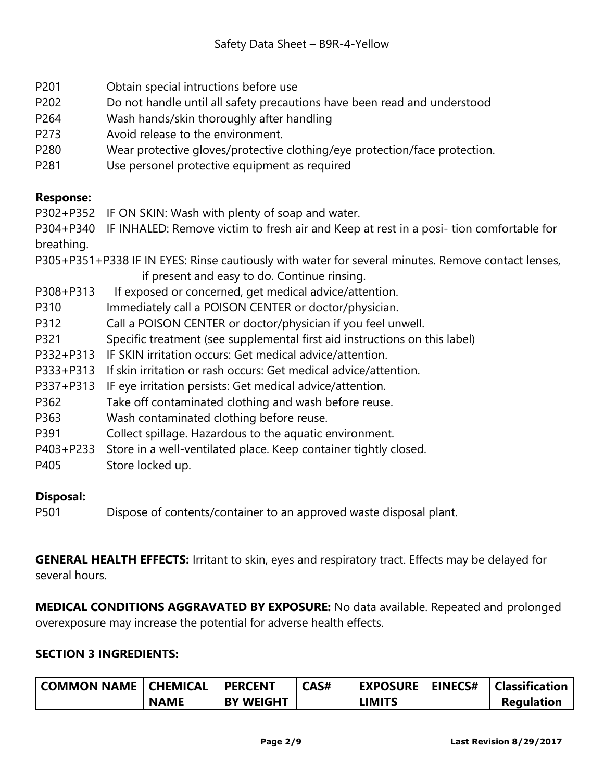- P201 Obtain special intructions before use
- P202 Do not handle until all safety precautions have been read and understood
- P264 Wash hands/skin thoroughly after handling
- P273 Avoid release to the environment.
- P280 Wear protective gloves/protective clothing/eye protection/face protection.
- P281 Use personel protective equipment as required

## **Response:**

P302+P352 IF ON SKIN: Wash with plenty of soap and water.

P304+P340 IF INHALED: Remove victim to fresh air and Keep at rest in a posi- tion comfortable for breathing.

P305+P351+P338 IF IN EYES: Rinse cautiously with water for several minutes. Remove contact lenses, if present and easy to do. Continue rinsing.

- P308+P313 If exposed or concerned, get medical advice/attention.
- P310 Immediately call a POISON CENTER or doctor/physician.
- P312 Call a POISON CENTER or doctor/physician if you feel unwell.
- P321 Specific treatment (see supplemental first aid instructions on this label)
- P332+P313 IF SKIN irritation occurs: Get medical advice/attention.
- P333+P313 If skin irritation or rash occurs: Get medical advice/attention.
- P337+P313 IF eye irritation persists: Get medical advice/attention.
- P362 Take off contaminated clothing and wash before reuse.
- P363 Wash contaminated clothing before reuse.
- P391 Collect spillage. Hazardous to the aquatic environment.
- P403+P233 Store in a well-ventilated place. Keep container tightly closed.
- P405 Store locked up.

## **Disposal:**

P501 Dispose of contents/container to an approved waste disposal plant.

**GENERAL HEALTH EFFECTS:** Irritant to skin, eyes and respiratory tract. Effects may be delayed for several hours.

**MEDICAL CONDITIONS AGGRAVATED BY EXPOSURE:** No data available. Repeated and prolonged overexposure may increase the potential for adverse health effects.

## **SECTION 3 INGREDIENTS:**

| COMMON NAME   CHEMICAL |             | <b>PERCENT</b>   | CAS# | <b>EXPOSURE</b> | <b>EINECS#</b> | <b>Classification</b> |
|------------------------|-------------|------------------|------|-----------------|----------------|-----------------------|
|                        | <b>NAME</b> | <b>BY WEIGHT</b> |      | <b>LIMITS</b>   |                | <b>Regulation</b>     |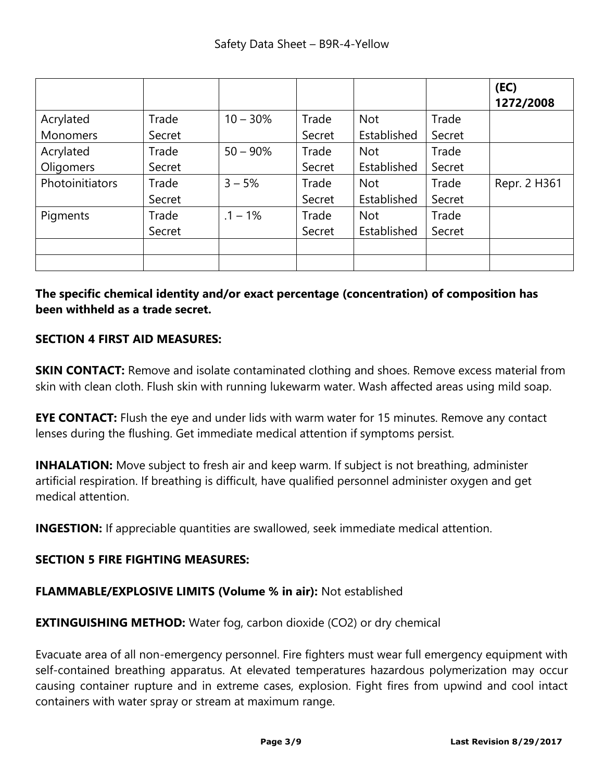|                 |        |             |        |             |        | (EC)<br>1272/2008 |
|-----------------|--------|-------------|--------|-------------|--------|-------------------|
| Acrylated       | Trade  | $10 - 30%$  | Trade  | <b>Not</b>  | Trade  |                   |
| Monomers        | Secret |             | Secret | Established | Secret |                   |
| Acrylated       | Trade  | $50 - 90\%$ | Trade  | <b>Not</b>  | Trade  |                   |
| Oligomers       | Secret |             | Secret | Established | Secret |                   |
| Photoinitiators | Trade  | $3 - 5%$    | Trade  | <b>Not</b>  | Trade  | Repr. 2 H361      |
|                 | Secret |             | Secret | Established | Secret |                   |
| Pigments        | Trade  | $.1 - 1%$   | Trade  | <b>Not</b>  | Trade  |                   |
|                 | Secret |             | Secret | Established | Secret |                   |
|                 |        |             |        |             |        |                   |
|                 |        |             |        |             |        |                   |

**The specific chemical identity and/or exact percentage (concentration) of composition has been withheld as a trade secret.** 

## **SECTION 4 FIRST AID MEASURES:**

**SKIN CONTACT:** Remove and isolate contaminated clothing and shoes. Remove excess material from skin with clean cloth. Flush skin with running lukewarm water. Wash affected areas using mild soap.

**EYE CONTACT:** Flush the eye and under lids with warm water for 15 minutes. Remove any contact lenses during the flushing. Get immediate medical attention if symptoms persist.

**INHALATION:** Move subject to fresh air and keep warm. If subject is not breathing, administer artificial respiration. If breathing is difficult, have qualified personnel administer oxygen and get medical attention.

**INGESTION:** If appreciable quantities are swallowed, seek immediate medical attention.

## **SECTION 5 FIRE FIGHTING MEASURES:**

#### **FLAMMABLE/EXPLOSIVE LIMITS (Volume % in air):** Not established

**EXTINGUISHING METHOD:** Water fog, carbon dioxide (CO2) or dry chemical

Evacuate area of all non-emergency personnel. Fire fighters must wear full emergency equipment with self-contained breathing apparatus. At elevated temperatures hazardous polymerization may occur causing container rupture and in extreme cases, explosion. Fight fires from upwind and cool intact containers with water spray or stream at maximum range.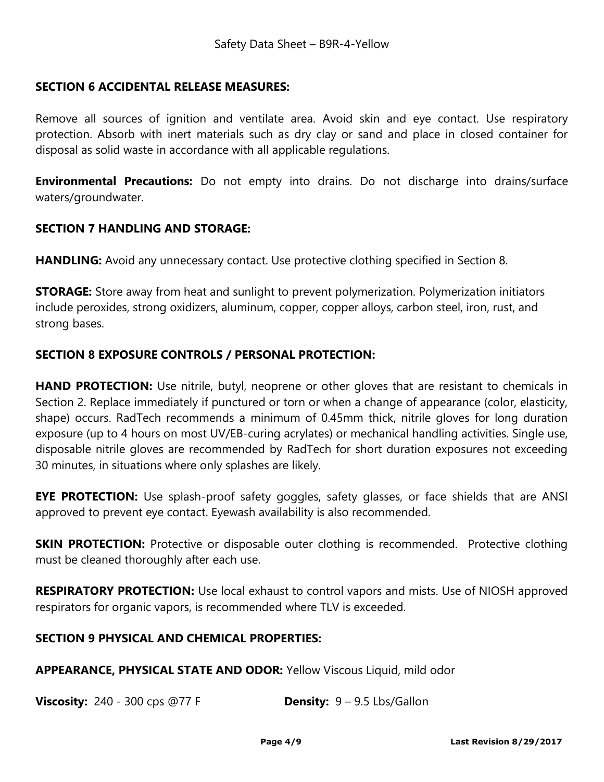#### **SECTION 6 ACCIDENTAL RELEASE MEASURES:**

Remove all sources of ignition and ventilate area. Avoid skin and eye contact. Use respiratory protection. Absorb with inert materials such as dry clay or sand and place in closed container for disposal as solid waste in accordance with all applicable regulations.

**Environmental Precautions:** Do not empty into drains. Do not discharge into drains/surface waters/groundwater.

#### **SECTION 7 HANDLING AND STORAGE:**

**HANDLING:** Avoid any unnecessary contact. Use protective clothing specified in Section 8.

**STORAGE:** Store away from heat and sunlight to prevent polymerization. Polymerization initiators include peroxides, strong oxidizers, aluminum, copper, copper alloys, carbon steel, iron, rust, and strong bases.

### **SECTION 8 EXPOSURE CONTROLS / PERSONAL PROTECTION:**

**HAND PROTECTION:** Use nitrile, butyl, neoprene or other gloves that are resistant to chemicals in Section 2. Replace immediately if punctured or torn or when a change of appearance (color, elasticity, shape) occurs. RadTech recommends a minimum of 0.45mm thick, nitrile gloves for long duration exposure (up to 4 hours on most UV/EB-curing acrylates) or mechanical handling activities. Single use, disposable nitrile gloves are recommended by RadTech for short duration exposures not exceeding 30 minutes, in situations where only splashes are likely.

**EYE PROTECTION:** Use splash-proof safety goggles, safety glasses, or face shields that are ANSI approved to prevent eye contact. Eyewash availability is also recommended.

**SKIN PROTECTION:** Protective or disposable outer clothing is recommended. Protective clothing must be cleaned thoroughly after each use.

**RESPIRATORY PROTECTION:** Use local exhaust to control vapors and mists. Use of NIOSH approved respirators for organic vapors, is recommended where TLV is exceeded.

#### **SECTION 9 PHYSICAL AND CHEMICAL PROPERTIES:**

**APPEARANCE, PHYSICAL STATE AND ODOR:** Yellow Viscous Liquid, mild odor

**Viscosity:** 240 - 300 cps @77 F **Density:** 9 – 9.5 Lbs/Gallon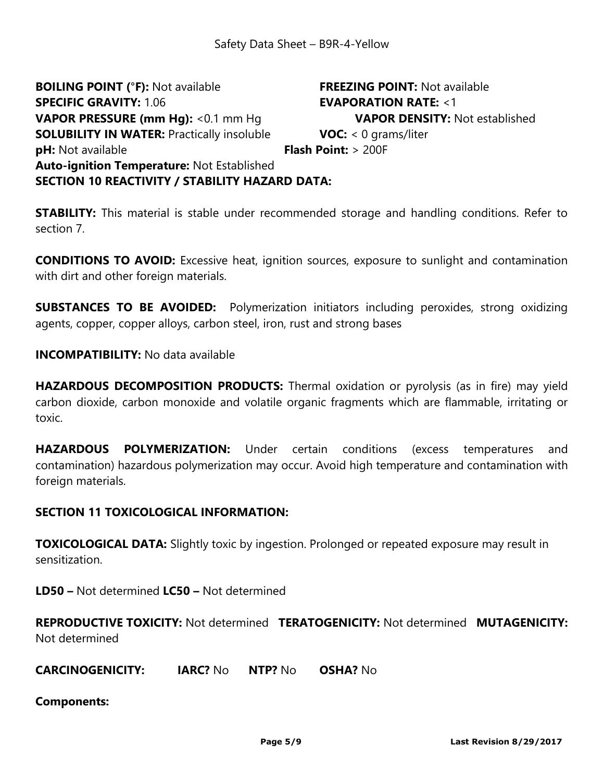**BOILING POINT (°F):** Not available **FREEZING POINT:** Not available **SPECIFIC GRAVITY:** 1.06 **EVAPORATION RATE:** <1 **VAPOR PRESSURE (mm Hg):** <0.1 mm Hg **VAPOR DENSITY:** Not established **SOLUBILITY IN WATER:** Practically insoluble **VOC:** < 0 grams/liter **pH:** Not available **Flash Point:** > 200F **Auto-ignition Temperature:** Not Established **SECTION 10 REACTIVITY / STABILITY HAZARD DATA:** 

**STABILITY:** This material is stable under recommended storage and handling conditions. Refer to section 7.

**CONDITIONS TO AVOID:** Excessive heat, ignition sources, exposure to sunlight and contamination with dirt and other foreign materials.

**SUBSTANCES TO BE AVOIDED:** Polymerization initiators including peroxides, strong oxidizing agents, copper, copper alloys, carbon steel, iron, rust and strong bases

**INCOMPATIBILITY:** No data available

**HAZARDOUS DECOMPOSITION PRODUCTS:** Thermal oxidation or pyrolysis (as in fire) may yield carbon dioxide, carbon monoxide and volatile organic fragments which are flammable, irritating or toxic.

**HAZARDOUS POLYMERIZATION:** Under certain conditions (excess temperatures and contamination) hazardous polymerization may occur. Avoid high temperature and contamination with foreign materials.

#### **SECTION 11 TOXICOLOGICAL INFORMATION:**

**TOXICOLOGICAL DATA:** Slightly toxic by ingestion. Prolonged or repeated exposure may result in sensitization.

**LD50 –** Not determined **LC50 –** Not determined

**REPRODUCTIVE TOXICITY:** Not determined **TERATOGENICITY:** Not determined **MUTAGENICITY:**  Not determined

**CARCINOGENICITY: IARC?** No **NTP?** No **OSHA?** No

**Components:**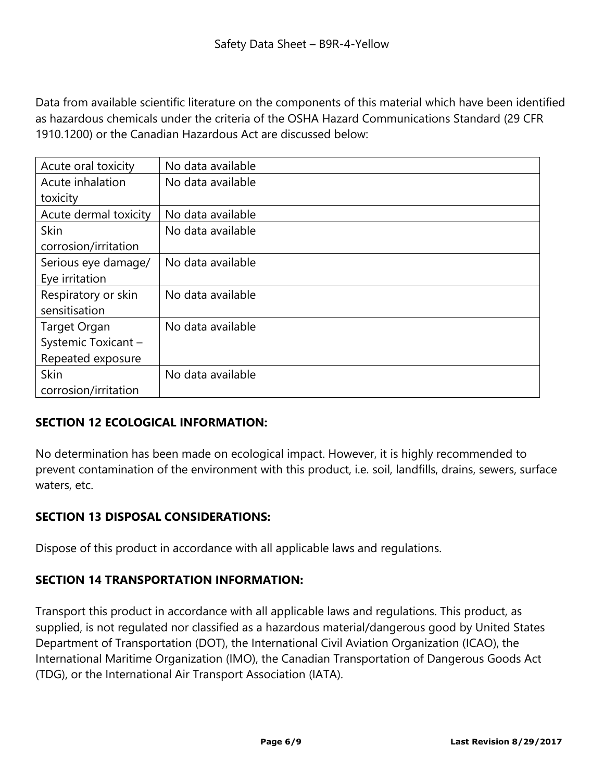Data from available scientific literature on the components of this material which have been identified as hazardous chemicals under the criteria of the OSHA Hazard Communications Standard (29 CFR 1910.1200) or the Canadian Hazardous Act are discussed below:

| Acute oral toxicity   | No data available |
|-----------------------|-------------------|
| Acute inhalation      | No data available |
| toxicity              |                   |
| Acute dermal toxicity | No data available |
| <b>Skin</b>           | No data available |
| corrosion/irritation  |                   |
| Serious eye damage/   | No data available |
| Eye irritation        |                   |
| Respiratory or skin   | No data available |
| sensitisation         |                   |
| Target Organ          | No data available |
| Systemic Toxicant -   |                   |
| Repeated exposure     |                   |
| <b>Skin</b>           | No data available |
| corrosion/irritation  |                   |

## **SECTION 12 ECOLOGICAL INFORMATION:**

No determination has been made on ecological impact. However, it is highly recommended to prevent contamination of the environment with this product, i.e. soil, landfills, drains, sewers, surface waters, etc.

## **SECTION 13 DISPOSAL CONSIDERATIONS:**

Dispose of this product in accordance with all applicable laws and regulations.

## **SECTION 14 TRANSPORTATION INFORMATION:**

Transport this product in accordance with all applicable laws and regulations. This product, as supplied, is not regulated nor classified as a hazardous material/dangerous good by United States Department of Transportation (DOT), the International Civil Aviation Organization (ICAO), the International Maritime Organization (IMO), the Canadian Transportation of Dangerous Goods Act (TDG), or the International Air Transport Association (IATA).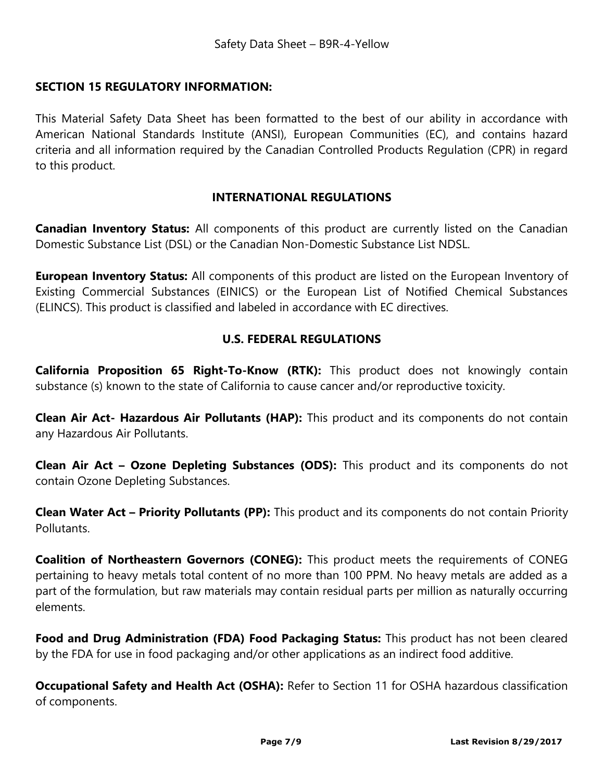### **SECTION 15 REGULATORY INFORMATION:**

This Material Safety Data Sheet has been formatted to the best of our ability in accordance with American National Standards Institute (ANSI), European Communities (EC), and contains hazard criteria and all information required by the Canadian Controlled Products Regulation (CPR) in regard to this product.

#### **INTERNATIONAL REGULATIONS**

**Canadian Inventory Status:** All components of this product are currently listed on the Canadian Domestic Substance List (DSL) or the Canadian Non-Domestic Substance List NDSL.

**European Inventory Status:** All components of this product are listed on the European Inventory of Existing Commercial Substances (EINICS) or the European List of Notified Chemical Substances (ELINCS). This product is classified and labeled in accordance with EC directives.

### **U.S. FEDERAL REGULATIONS**

**California Proposition 65 Right-To-Know (RTK):** This product does not knowingly contain substance (s) known to the state of California to cause cancer and/or reproductive toxicity.

**Clean Air Act- Hazardous Air Pollutants (HAP):** This product and its components do not contain any Hazardous Air Pollutants.

**Clean Air Act – Ozone Depleting Substances (ODS):** This product and its components do not contain Ozone Depleting Substances.

**Clean Water Act – Priority Pollutants (PP):** This product and its components do not contain Priority Pollutants.

**Coalition of Northeastern Governors (CONEG):** This product meets the requirements of CONEG pertaining to heavy metals total content of no more than 100 PPM. No heavy metals are added as a part of the formulation, but raw materials may contain residual parts per million as naturally occurring elements.

**Food and Drug Administration (FDA) Food Packaging Status:** This product has not been cleared by the FDA for use in food packaging and/or other applications as an indirect food additive.

**Occupational Safety and Health Act (OSHA):** Refer to Section 11 for OSHA hazardous classification of components.